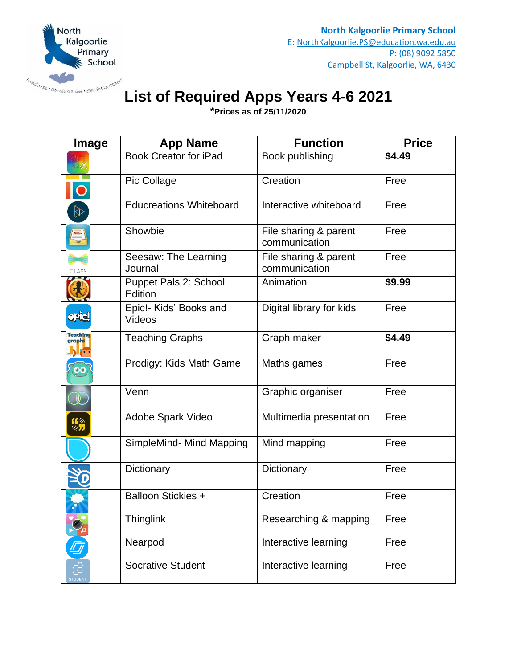

## **List of Required Apps Years 4-6 2021**

**\*Prices as of 25/11/2020**

| Image                       | <b>App Name</b>                  | <b>Function</b>                        | <b>Price</b> |
|-----------------------------|----------------------------------|----------------------------------------|--------------|
|                             | <b>Book Creator for iPad</b>     | Book publishing                        | \$4.49       |
| $\overline{\mathbf{O}}$     | Pic Collage                      | Creation                               | Free         |
|                             | <b>Educreations Whiteboard</b>   | Interactive whiteboard                 | Free         |
|                             | Showbie                          | File sharing & parent<br>communication | Free         |
| <b>CLASS</b>                | Seesaw: The Learning<br>Journal  | File sharing & parent<br>communication | Free         |
|                             | Puppet Pals 2: School<br>Edition | Animation                              | \$9.99       |
| epiel                       | Epic!- Kids' Books and<br>Videos | Digital library for kids               | Free         |
| Teaching<br>graphs          | <b>Teaching Graphs</b>           | Graph maker                            | \$4.49       |
|                             | Prodigy: Kids Math Game          | Maths games                            | Free         |
|                             | Venn                             | Graphic organiser                      | Free         |
| $\mathbf{G}^*_{\mathbf{D}}$ | Adobe Spark Video                | Multimedia presentation                | Free         |
|                             | SimpleMind- Mind Mapping         | Mind mapping                           | Free         |
|                             | Dictionary                       | Dictionary                             | Free         |
|                             | <b>Balloon Stickies +</b>        | Creation                               | Free         |
|                             | <b>Thinglink</b>                 | Researching & mapping                  | Free         |
|                             | Nearpod                          | Interactive learning                   | Free         |
|                             | <b>Socrative Student</b>         | Interactive learning                   | Free         |